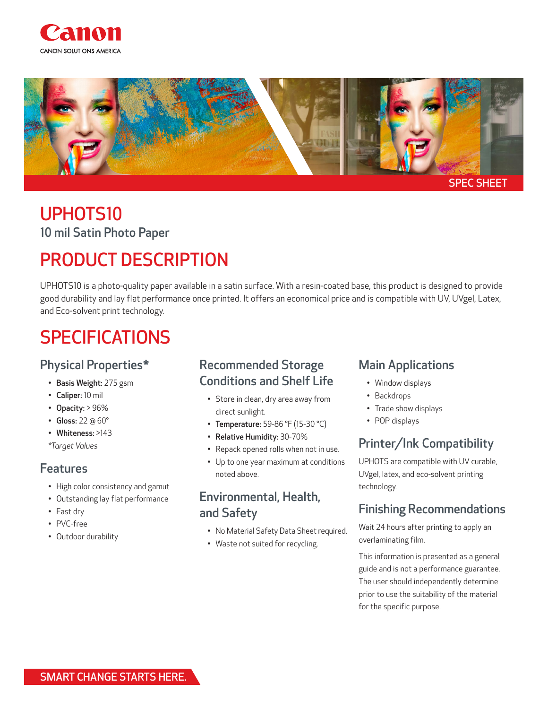



## UPHOTS10 10 mil Satin Photo Paper

# PRODUCT DESCRIPTION

UPHOTS10 is a photo-quality paper available in a satin surface. With a resin-coated base, this product is designed to provide good durability and lay flat performance once printed. It offers an economical price and is compatible with UV, UVgel, Latex, and Eco-solvent print technology.

# SPECIFICATIONS

#### Physical Properties\*

- Basis Weight: 275 gsm
- Caliper: 10 mil
- Opacity: > 96%
- Gloss: 22 @ 60°
- Whiteness: >143
- *\*Target Values*

#### Features

- High color consistency and gamut
- Outstanding lay flat performance
- Fast dry
- PVC-free
- Outdoor durability

### Recommended Storage Conditions and Shelf Life

- Store in clean, dry area away from direct sunlight.
- Temperature: 59-86 °F (15-30 °C)
- Relative Humidity: 30-70%
- Repack opened rolls when not in use.
- Up to one year maximum at conditions noted above.

#### Environmental, Health, and Safety

- No Material Safety Data Sheet required.
- Waste not suited for recycling.

### Main Applications

- Window displays
- Backdrops
- Trade show displays
- POP displays

### Printer/Ink Compatibility

UPHOTS are compatible with UV curable, UVgel, latex, and eco-solvent printing technology.

### Finishing Recommendations

Wait 24 hours after printing to apply an overlaminating film.

This information is presented as a general guide and is not a performance guarantee. The user should independently determine prior to use the suitability of the material for the specific purpose.